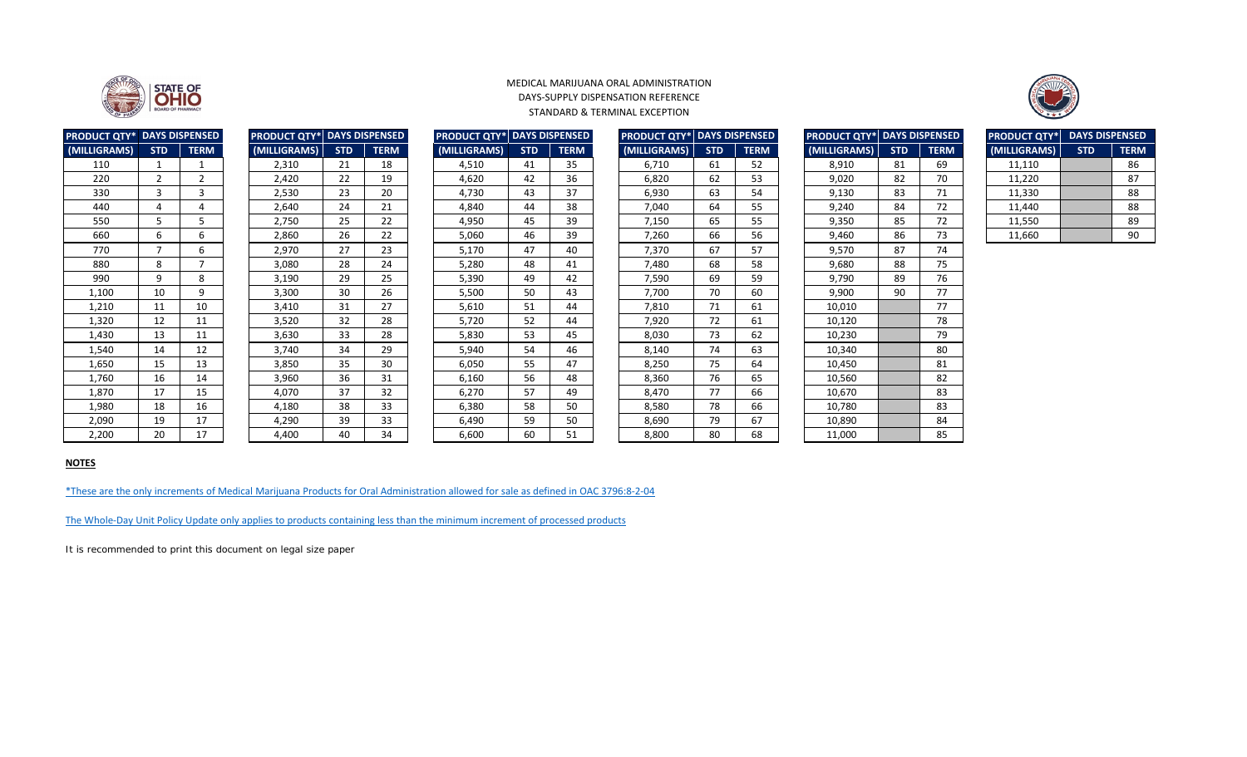| <b>PRODUCT QTY* DAYS DISPENSED</b> |               |                | <b>PRODUCT QTY* DAYS DISPENSED</b> |            |             | <b>PRODUCT QTY*</b> DAYS DISPENSED |            |             | <b>PRODUCT QTY* DAYS DISPENSED</b> |            |             | <b>PRODUCT QTY* DAYS DISPENSED</b> |            |             | <b>PRODUCT QTY*</b> | <b>DAYS DISPENSED</b> |             |
|------------------------------------|---------------|----------------|------------------------------------|------------|-------------|------------------------------------|------------|-------------|------------------------------------|------------|-------------|------------------------------------|------------|-------------|---------------------|-----------------------|-------------|
| (MILLIGRAMS)                       | <b>STD</b>    | <b>TERM</b>    | (MILLIGRAMS)                       | <b>STD</b> | <b>TERM</b> | (MILLIGRAMS)                       | <b>STD</b> | <b>TERM</b> | (MILLIGRAMS)                       | <b>STD</b> | <b>TERM</b> | (MILLIGRAMS)                       | <b>STD</b> | <b>TERM</b> | (MILLIGRAMS)        | <b>STD</b>            | <b>TERM</b> |
| 110                                |               |                | 2,310                              | 21         | 18          | 4,510                              | 41         | 35          | 6,710                              | 61         | 52          | 8,910                              | 81         | 69          | 11,110              |                       | 86          |
| 220                                | $\mathcal{D}$ | $\overline{2}$ | 2,420                              | 22         | 19          | 4,620                              | 42         | 36          | 6,820                              | 62         | 53          | 9,020                              | 82         | 70          | 11,220              |                       | 87          |
| 330                                | 3             | 3              | 2,530                              | 23         | 20          | 4,730                              | 43         | 37          | 6,930                              | 63         | 54          | 9,130                              | 83         | 71          | 11,330              |                       | 88          |
| 440                                | 4             | 4              | 2,640                              | 24         | 21          | 4,840                              | 44         | 38          | 7,040                              | 64         | 55          | 9,240                              | 84         | 72          | 11,440              |                       | 88          |
| 550                                | 5             | 5              | 2,750                              | 25         | 22          | 4,950                              | 45         | 39          | 7,150                              | 65         | 55          | 9,350                              | 85         | 72          | 11,550              |                       | 89          |
| 660                                | 6             | 6              | 2,860                              | 26         | 22          | 5,060                              | 46         | 39          | 7,260                              | 66         | 56          | 9,460                              | 86         | 73          | 11,660              |                       | 90          |
| 770                                |               | 6              | 2,970                              | 27         | 23          | 5,170                              | 47         | 40          | 7,370                              | 67         | 57          | 9,570                              | 87         | 74          |                     |                       |             |
| 880                                | 8             | $\overline{ }$ | 3,080                              | 28         | 24          | 5,280                              | 48         | 41          | 7,480                              | 68         | 58          | 9,680                              | 88         | 75          |                     |                       |             |
| 990                                | 9             | 8              | 3,190                              | 29         | 25          | 5,390                              | 49         | 42          | 7,590                              | 69         | 59          | 9,790                              | 89         | 76          |                     |                       |             |
| 1,100                              | 10            | 9              | 3,300                              | 30         | 26          | 5,500                              | 50         | 43          | 7,700                              | 70         | 60          | 9,900                              | 90         | 77          |                     |                       |             |
| 1,210                              | 11            | 10             | 3,410                              | 31         | 27          | 5,610                              | 51         | 44          | 7,810                              | 71         | 61          | 10,010                             |            | 77          |                     |                       |             |
| 1,320                              | 12            | 11             | 3,520                              | 32         | 28          | 5,720                              | 52         | 44          | 7,920                              | 72         | 61          | 10,120                             |            | 78          |                     |                       |             |
| 1,430                              | 13            | 11             | 3,630                              | 33         | 28          | 5,830                              | 53         | 45          | 8,030                              | 73         | 62          | 10,230                             |            | 79          |                     |                       |             |
| 1,540                              | 14            | 12             | 3,740                              | 34         | 29          | 5,940                              | 54         | 46          | 8,140                              | 74         | 63          | 10,340                             |            | 80          |                     |                       |             |
| 1,650                              | 15            | 13             | 3,850                              | 35         | 30          | 6,050                              | 55         | 47          | 8,250                              | 75         | 64          | 10,450                             |            | 81          |                     |                       |             |
| 1,760                              | 16            | 14             | 3,960                              | 36         | 31          | 6,160                              | 56         | 48          | 8,360                              | 76         | 65          | 10,560                             |            | 82          |                     |                       |             |
| 1,870                              | 17            | 15             | 4,070                              | 37         | 32          | 6,270                              | 57         | 49          | 8,470                              | 77         | 66          | 10,670                             |            | 83          |                     |                       |             |
| 1,980                              | 18            | 16             | 4,180                              | 38         | 33          | 6,380                              | 58         | 50          | 8,580                              | 78         | 66          | 10,780                             |            | 83          |                     |                       |             |
| 2,090                              | 19            | 17             | 4,290                              | 39         | 33          | 6,490                              | 59         | 50          | 8,690                              | 79         | 67          | 10,890                             |            | 84          |                     |                       |             |
| 2,200                              | 20            | 17             | 4,400                              | 40         | 34          | 6,600                              | 60         | 51          | 8,800                              | 80         | 68          | 11,000                             |            | 85          |                     |                       |             |

| <b>DUCT QTY* DAYS DISPENSED</b> |                |                | <b>PRODUCT QTY* DAYS DISPENSED</b> |            |             | <b>PRODUCT QTY* DAYS DISPENSED</b> |            |             | <b>PRODUCT QTY* DAYS DISPENSED</b> |            |             | <b>PRODUCT QTY*</b> DAYS DISPENS |            |             |
|---------------------------------|----------------|----------------|------------------------------------|------------|-------------|------------------------------------|------------|-------------|------------------------------------|------------|-------------|----------------------------------|------------|-------------|
| LIGRAMS)                        | <b>STD</b>     | <b>TERM</b>    | (MILLIGRAMS)                       | <b>STD</b> | <b>TERM</b> | (MILLIGRAMS)                       | <b>STD</b> | <b>TERM</b> | (MILLIGRAMS)                       | <b>STD</b> | <b>TERM</b> | (MILLIGRAMS)                     | <b>STD</b> | <b>TERI</b> |
| 110                             |                |                | 2,310                              | 21         | 18          | 4,510                              | 41         | 35          | 6,710                              | 61         | 52          | 8,910                            | 81         | 69          |
| 220                             | $\overline{2}$ | $\overline{2}$ | 2,420                              | 22         | 19          | 4,620                              | 42         | 36          | 6,820                              | 62         | 53          | 9,020                            | 82         | 70          |
| 330                             | 3              | 3              | 2,530                              | 23         | 20          | 4,730                              | 43         | 37          | 6,930                              | 63         | 54          | 9,130                            | 83         | 71          |
| 440                             | 4              | 4              | 2,640                              | 24         | 21          | 4,840                              | 44         | 38          | 7,040                              | 64         | 55          | 9,240                            | 84         | 72          |
| 550                             | 5.             | 5              | 2,750                              | 25         | 22          | 4,950                              | 45         | 39          | 7,150                              | 65         | 55          | 9,350                            | 85         | 72          |
| 660                             | 6              | 6              | 2,860                              | 26         | 22          | 5,060                              | 46         | 39          | 7,260                              | 66         | 56          | 9,460                            | 86         | 73          |
| 770                             | 7              | 6              | 2,970                              | 27         | 23          | 5,170                              | 47         | 40          | 7,370                              | 67         | 57          | 9,570                            | 87         | 74          |
| 880                             | 8              | $\overline{7}$ | 3,080                              | 28         | 24          | 5,280                              | 48         | 41          | 7,480                              | 68         | 58          | 9,680                            | 88         | 75          |
| 990                             | 9              | 8              | 3,190                              | 29         | 25          | 5,390                              | 49         | 42          | 7,590                              | 69         | 59          | 9,790                            | 89         | 76          |
| 1,100                           | 10             | 9              | 3,300                              | 30         | 26          | 5,500                              | 50         | 43          | 7,700                              | 70         | 60          | 9,900                            | 90         | 77          |
| 1,210                           | 11             | 10             | 3,410                              | 31         | 27          | 5,610                              | 51         | 44          | 7,810                              | 71         | 61          | 10,010                           |            | 77          |
| 1,320                           | 12             | 11             | 3,520                              | 32         | 28          | 5,720                              | 52         | 44          | 7,920                              | 72         | 61          | 10,120                           |            | 78          |
| 1,430                           | 13             | 11             | 3,630                              | 33         | 28          | 5,830                              | 53         | 45          | 8,030                              | 73         | 62          | 10,230                           |            | 79          |
| 1,540                           | 14             | 12             | 3,740                              | 34         | 29          | 5,940                              | 54         | 46          | 8,140                              | 74         | 63          | 10,340                           |            | 80          |
| 1,650                           | 15             | 13             | 3,850                              | 35         | 30          | 6,050                              | 55         | 47          | 8,250                              | 75         | 64          | 10,450                           |            | 81          |
| 1,760                           | 16             | 14             | 3,960                              | 36         | 31          | 6,160                              | 56         | 48          | 8,360                              | 76         | 65          | 10,560                           |            | 82          |
| 1,870                           | 17             | 15             | 4,070                              | 37         | 32          | 6,270                              | 57         | 49          | 8,470                              | 77         | 66          | 10,670                           |            | 83          |
| 1,980                           | 18             | 16             | 4,180                              | 38         | 33          | 6,380                              | 58         | 50          | 8,580                              | 78         | 66          | 10,780                           |            | 83          |
| 2,090                           | 19             | 17             | 4,290                              | 39         | 33          | 6,490                              | 59         | 50          | 8,690                              | 79         | 67          | 10,890                           |            | 84          |
| 2,200                           | 20             | 17             | 4,400                              | 40         | 34          | 6,600                              | 60         | 51          | 8,800                              | 80         | 68          | 11,000                           |            | 85          |

| <b>DUCT QTY* DAYS DISPENSED</b> |                |                | <b>PRODUCT QTY*  DAYS DISPENSED</b> |            |             | <b>PRODUCT QTY*  DAYS DISPENSED</b> |            |             | <b>PRODUCT QTY*  DAYS DISPENSED</b> |            |             | <b>PRODUCT QTY*  DAYS DISPENS</b> |            |             |
|---------------------------------|----------------|----------------|-------------------------------------|------------|-------------|-------------------------------------|------------|-------------|-------------------------------------|------------|-------------|-----------------------------------|------------|-------------|
| LIGRAMS)                        | <b>STD</b>     | <b>TERM</b>    | (MILLIGRAMS)                        | <b>STD</b> | <b>TERM</b> | (MILLIGRAMS)                        | <b>STD</b> | <b>TERM</b> | (MILLIGRAMS)                        | <b>STD</b> | <b>TERM</b> | (MILLIGRAMS)                      | <b>STD</b> | <b>TERI</b> |
| 110                             |                | 1              | 2,310                               | 21         | 18          | 4,510                               | 41         | 35          | 6,710                               | 61         | 52          | 8,910                             | 81         | 69          |
| 220                             | $\overline{2}$ | $\overline{2}$ | 2,420                               | 22         | 19          | 4,620                               | 42         | 36          | 6,820                               | 62         | 53          | 9,020                             | 82         | 70          |
| 330                             | $\mathbf{3}$   | 3              | 2,530                               | 23         | 20          | 4,730                               | 43         | 37          | 6,930                               | 63         | 54          | 9,130                             | 83         | 71          |
| 440                             | 4              | 4              | 2,640                               | 24         | 21          | 4,840                               | 44         | 38          | 7,040                               | 64         | 55          | 9,240                             | 84         | 72          |
| 550                             | 5.             | 5              | 2,750                               | 25         | 22          | 4,950                               | 45         | 39          | 7,150                               | 65         | 55          | 9,350                             | 85         | 72          |
| 660                             | 6              | 6              | 2,860                               | 26         | 22          | 5,060                               | 46         | 39          | 7,260                               | 66         | 56          | 9,460                             | 86         | 73          |
| 770                             | $\overline{7}$ | 6              | 2,970                               | 27         | 23          | 5,170                               | 47         | 40          | 7,370                               | 67         | 57          | 9,570                             | 87         | 74          |
| 880                             | 8              | $\overline{7}$ | 3,080                               | 28         | 24          | 5,280                               | 48         | 41          | 7,480                               | 68         | 58          | 9,680                             | 88         | 75          |
| 990                             | 9              | 8              | 3,190                               | 29         | 25          | 5,390                               | 49         | 42          | 7,590                               | 69         | 59          | 9,790                             | 89         | 76          |
| 1,100                           | 10             | 9              | 3,300                               | 30         | 26          | 5,500                               | 50         | 43          | 7,700                               | 70         | 60          | 9,900                             | 90         | 77          |
| 1,210                           | 11             | 10             | 3,410                               | 31         | 27          | 5,610                               | 51         | 44          | 7,810                               | 71         | 61          | 10,010                            |            | 77          |
| 1,320                           | 12             | 11             | 3,520                               | 32         | 28          | 5,720                               | 52         | 44          | 7,920                               | 72         | 61          | 10,120                            |            | 78          |
| 1,430                           | 13             | 11             | 3,630                               | 33         | 28          | 5,830                               | 53         | 45          | 8,030                               | 73         | 62          | 10,230                            |            | 79          |
| 1,540                           | 14             | 12             | 3,740                               | 34         | 29          | 5,940                               | 54         | 46          | 8,140                               | 74         | 63          | 10,340                            |            | 80          |
| 1,650                           | 15             | 13             | 3,850                               | 35         | 30          | 6,050                               | 55         | 47          | 8,250                               | 75         | 64          | 10,450                            |            | 81          |
| 1,760                           | 16             | 14             | 3,960                               | 36         | 31          | 6,160                               | 56         | 48          | 8,360                               | 76         | 65          | 10,560                            |            | 82          |
| 1,870                           | 17             | 15             | 4,070                               | 37         | 32          | 6,270                               | 57         | 49          | 8,470                               | 77         | 66          | 10,670                            |            | 83          |
| 1,980                           | 18             | 16             | 4,180                               | 38         | 33          | 6,380                               | 58         | 50          | 8,580                               | 78         | 66          | 10,780                            |            | 83          |
| 2,090                           | 19             | 17             | 4,290                               | 39         | 33          | 6,490                               | 59         | 50          | 8,690                               | 79         | 67          | 10,890                            |            | 84          |
| 2,200                           | 20             | 17             | 4,400                               | 40         | 34          | 6,600                               | 60         | 51          | 8,800                               | 80         | 68          | 11,000                            |            | 85          |
|                                 |                |                |                                     |            |             |                                     |            |             |                                     |            |             |                                   |            |             |

| <b>ODUCT QTY*</b>  | <b>DAYS DISPENSED</b> |             |  |  |  |  |  |  |
|--------------------|-----------------------|-------------|--|--|--|--|--|--|
| <b>IILLIGRAMS)</b> | <b>STD</b>            | <b>TERM</b> |  |  |  |  |  |  |
| 6,710              | 61                    | 52          |  |  |  |  |  |  |
| 6,820              | 62                    | 53          |  |  |  |  |  |  |
| 6,930              | 63                    | 54          |  |  |  |  |  |  |
| 7,040              | 64                    | 55          |  |  |  |  |  |  |
| 7,150              | 65                    | 55          |  |  |  |  |  |  |
| 7,260              | 66                    | 56          |  |  |  |  |  |  |
| 7,370              | 67                    | 57          |  |  |  |  |  |  |
| 7,480              | 68                    | 58          |  |  |  |  |  |  |
| 7,590              | 69                    | 59          |  |  |  |  |  |  |
| 7,700              | 70                    | 60          |  |  |  |  |  |  |
| 7,810              | 71                    | 61          |  |  |  |  |  |  |
| 7,920              | 72                    | 61          |  |  |  |  |  |  |
| 8,030              | 73                    | 62          |  |  |  |  |  |  |
| 8,140              | 74                    | 63          |  |  |  |  |  |  |
| 8,250              | 75                    | 64          |  |  |  |  |  |  |
| 8,360              | 76                    | 65          |  |  |  |  |  |  |
| 8,470              | 77                    | 66          |  |  |  |  |  |  |
| 8,580              | 78                    | 66          |  |  |  |  |  |  |
| 8,690              | 79                    | 67          |  |  |  |  |  |  |
| 8,800              | 80                    | 68          |  |  |  |  |  |  |

[The Whole-Day Unit Policy Update only applies to products containing less than the minimum increment of processed products](https://www.medicalmarijuana.ohio.gov/Documents/LicenseeResources/Processor%20Licensee%20Resources/Product%20ID%20Assignment/Whole-Day%20Unit%20Policy%20Update.pdf)

It is recommended to print this document on legal size paper



| <b>RODUCT QTY*</b> | <b>DAYS DISPENSED</b> |             |  |  |  |  |  |  |
|--------------------|-----------------------|-------------|--|--|--|--|--|--|
| (MILLIGRAMS)       | <b>STD</b>            | <b>TERM</b> |  |  |  |  |  |  |
| 11,110             |                       | 86          |  |  |  |  |  |  |
| 11,220             |                       | 87          |  |  |  |  |  |  |
| 11,330             |                       | 88          |  |  |  |  |  |  |
| 11,440             |                       | 88          |  |  |  |  |  |  |
| 11,550             |                       | 89          |  |  |  |  |  |  |
| 11,660             |                       | 90          |  |  |  |  |  |  |

| <b>PRODUCT QTY*</b> | <b>DAYS DISPENSED</b> |             |  |  |  |  |  |  |
|---------------------|-----------------------|-------------|--|--|--|--|--|--|
| (MILLIGRAMS)        | <b>STD</b>            | <b>TERM</b> |  |  |  |  |  |  |
| 110                 | 1                     | 1           |  |  |  |  |  |  |
| 220                 | 2                     | 2           |  |  |  |  |  |  |
| 330                 | 3                     | 3           |  |  |  |  |  |  |
| 440                 | 4                     | 4           |  |  |  |  |  |  |
| 550                 | 5                     | 5           |  |  |  |  |  |  |
| 660                 | 6                     | 6           |  |  |  |  |  |  |
| 770                 | 7                     | 6           |  |  |  |  |  |  |
| 880                 | 8                     | 7           |  |  |  |  |  |  |
| 990                 | 9                     | 8           |  |  |  |  |  |  |
| 1,100               | 10                    | 9           |  |  |  |  |  |  |
| 1,210               | 11                    | 10          |  |  |  |  |  |  |
| 1,320               | 12                    | 11          |  |  |  |  |  |  |
| 1,430               | 13                    | 11          |  |  |  |  |  |  |
| 1,540               | 14                    | 12          |  |  |  |  |  |  |
| 1,650               | 15                    | 13          |  |  |  |  |  |  |
| 1,760               | 16                    | 14          |  |  |  |  |  |  |
| 1,870               | 17                    | 15          |  |  |  |  |  |  |
| 1,980               | 18                    | 16          |  |  |  |  |  |  |
| 2,090               | 19                    | 17          |  |  |  |  |  |  |
| 2,200               | 20                    | 17          |  |  |  |  |  |  |



#### MEDICAL MARIJUANA ORAL ADMINISTRATION DAYS-SUPPLY DISPENSATION REFERENCE STANDARD & TERMINAL EXCEPTION

# **NOTES**

[\\*These are the o](http://codes.ohio.gov/oac/3796:8-2-04v1)nly increments of Medical Marijuana Products for Oral Administration allowed for sale as defined in OAC 3796:8-2-04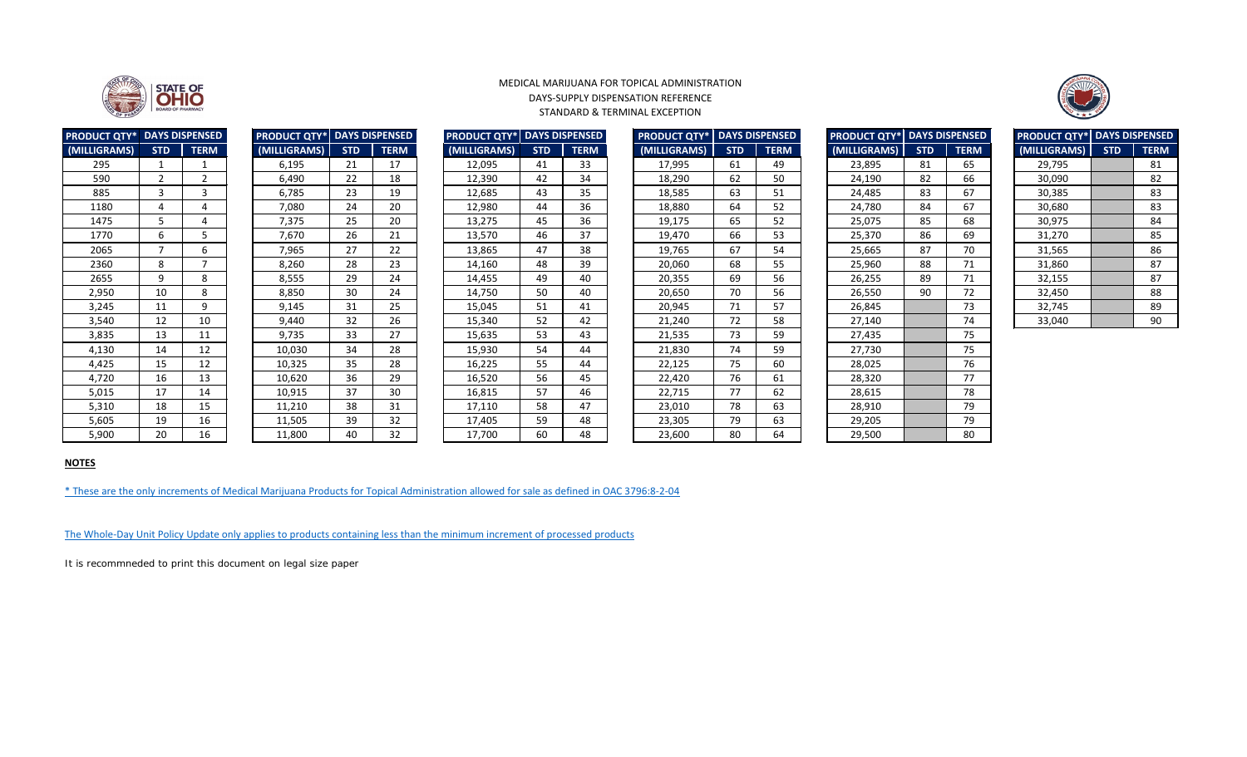| <b>PRODUCT QTY* DAYS DISPENSED</b> |                          |             | <b>PRODUCT QTY*</b> |            | <b>DAYS DISPENSED</b> | <b>DAYS DISPENSED</b><br><b>PRODUCT QTY*</b> |            |             | <b>PRODUCT QTY*   DAYS DISPENSED</b> |            |             |  | <b>PRODUCT QTY* DAYS DISPENSED</b> |            |             | <b>PRODUCT QTY*   DAYS DISPENSE</b> |            |             |
|------------------------------------|--------------------------|-------------|---------------------|------------|-----------------------|----------------------------------------------|------------|-------------|--------------------------------------|------------|-------------|--|------------------------------------|------------|-------------|-------------------------------------|------------|-------------|
| (MILLIGRAMS)                       | <b>STD</b>               | <b>TERM</b> | (MILLIGRAMS)        | <b>STD</b> | <b>TERM</b>           | (MILLIGRAMS)                                 | <b>STD</b> | <b>TERM</b> | (MILLIGRAMS)                         | <b>STD</b> | <b>TERM</b> |  | (MILLIGRAMS)                       | <b>STD</b> | <b>TERM</b> | (MILLIGRAMS)                        | <b>STD</b> | <b>TERM</b> |
| 295                                |                          |             | 6,195               | 21         | 17                    | 12,095                                       | 41         | 33          | 17,995                               | 61         | 49          |  | 23,895                             | 81         | 65          | 29,795                              |            | 81          |
| 590                                | $\overline{2}$           |             | 6,490               | 22         | 18                    | 12,390                                       | 42         | 34          | 18,290                               | 62         | 50          |  | 24,190                             | 82         | 66          | 30,090                              |            | 82          |
| 885                                |                          |             | 6,785               | 23         | 19                    | 12,685                                       | 43         | 35          | 18,585                               | 63         | 51          |  | 24,485                             | 83         | 67          | 30,385                              |            | 83          |
| 1180                               | 4                        |             | 7,080               | 24         | 20                    | 12,980                                       | 44         | 36          | 18,880                               | 64         | 52          |  | 24,780                             | 84         | 67          | 30,680                              |            | 83          |
| 1475                               |                          |             | 7,375               | 25         | 20                    | 13,275                                       | 45         | 36          | 19,175                               | 65         | 52          |  | 25,075                             | 85         | 68          | 30,975                              |            | 84          |
| 1770                               | 6                        |             | 7,670               | 26         | 21                    | 13,570                                       | 46         | 37          | 19,470                               | 66         | 53          |  | 25,370                             | 86         | 69          | 31,270                              |            | 85          |
| 2065                               | $\overline{\phantom{a}}$ | 6           | 7,965               | 27         | 22                    | 13,865                                       | 47         | 38          | 19,765                               | 67         | 54          |  | 25,665                             | 87         | 70          | 31,565                              |            | 86          |
| 2360                               | 8                        |             | 8,260               | 28         | 23                    | 14,160                                       | 48         | 39          | 20,060                               | 68         | 55          |  | 25,960                             | 88         | 71          | 31,860                              |            | 87          |
| 2655                               | 9                        | 8           | 8,555               | 29         | 24                    | 14,455                                       | 49         | 40          | 20,355                               | 69         | 56          |  | 26,255                             | 89         | 71          | 32,155                              |            | 87          |
| 2,950                              | 10                       | 8           | 8,850               | 30         | 24                    | 14,750                                       | 50         | 40          | 20,650                               | 70         | 56          |  | 26,550                             | 90         | 72          | 32,450                              |            | 88          |
| 3,245                              | 11                       | q           | 9,145               | 31         | 25                    | 15,045                                       | 51         | 41          | 20,945                               | 71         | 57          |  | 26,845                             |            | 73          | 32,745                              |            | 89          |
| 3,540                              | 12                       | 10          | 9,440               | 32         | 26                    | 15,340                                       | 52         | 42          | 21,240                               | 72         | 58          |  | 27,140                             |            | 74          | 33,040                              |            | 90          |
| 3,835                              | 13                       | 11          | 9,735               | 33         | 27                    | 15,635                                       | 53         | 43          | 21,535                               | 73         | 59          |  | 27,435                             |            | 75          |                                     |            |             |
| 4,130                              | 14                       | 12          | 10,030              | 34         | 28                    | 15,930                                       | 54         | 44          | 21,830                               | 74         | 59          |  | 27,730                             |            | 75          |                                     |            |             |
| 4,425                              | 15                       | 12          | 10,325              | 35         | 28                    | 16,225                                       | 55         | 44          | 22,125                               | 75         | 60          |  | 28,025                             |            | 76          |                                     |            |             |
| 4,720                              | 16                       | 13          | 10,620              | 36         | 29                    | 16,520                                       | 56         | 45          | 22,420                               | 76         | 61          |  | 28,320                             |            | 77          |                                     |            |             |
| 5,015                              | 17                       | 14          | 10,915              | 37         | 30                    | 16,815                                       | 57         | 46          | 22,715                               | 77         | 62          |  | 28,615                             |            | 78          |                                     |            |             |
| 5,310                              | 18                       | 15          | 11,210              | 38         | 31                    | 17,110                                       | 58         | 47          | 23,010                               | 78         | 63          |  | 28,910                             |            | 79          |                                     |            |             |
| 5,605                              | 19                       | 16          | 11,505              | 39         | 32                    | 17,405                                       | 59         | 48          | 23,305                               | 79         | 63          |  | 29,205                             |            | 79          |                                     |            |             |
| 5,900                              | 20                       | 16          | 11,800              | 40         | 32                    | 17,700                                       | 60         | 48          | 23,600                               | 80         | 64          |  | 29,500                             |            | 80          |                                     |            |             |

| <b>PRODUCT QTY*</b> | <b>DAYS DISPENSED</b> |             |  |  |  |  |  |
|---------------------|-----------------------|-------------|--|--|--|--|--|
| (MILLIGRAMS)        | <b>STD</b>            | <b>TERM</b> |  |  |  |  |  |
| 6,195               | 21                    | 17          |  |  |  |  |  |
| 6,490               | 22                    | 18          |  |  |  |  |  |
| 6,785               | 23                    | 19          |  |  |  |  |  |
| 7,080               | 24                    | 20          |  |  |  |  |  |
| 7,375               | 25                    | 20          |  |  |  |  |  |
| 7,670               | 26                    | 21          |  |  |  |  |  |
| 7,965               | 27                    | 22          |  |  |  |  |  |
| 8,260               | 28                    | 23          |  |  |  |  |  |
| 8,555               | 29                    | 24          |  |  |  |  |  |
| 8,850               | 30                    | 24          |  |  |  |  |  |
| 9,145               | 31                    | 25          |  |  |  |  |  |
| 9,440               | 32                    | 26          |  |  |  |  |  |
| 9,735               | 33                    | 27          |  |  |  |  |  |
| 10,030              | 34                    | 28          |  |  |  |  |  |
| 10,325              | 35                    | 28          |  |  |  |  |  |
| 10,620              | 36                    | 29          |  |  |  |  |  |
| 10,915              | 37                    | 30          |  |  |  |  |  |
| 11,210              | 38                    | 31          |  |  |  |  |  |
| 11,505              | 39                    | 32          |  |  |  |  |  |
| 11.800              | 40                    | 32          |  |  |  |  |  |

| <b>PRODUCT QTY*</b> | <b>DAYS DISPENSED</b> |             |  |  |  |  |  |  |
|---------------------|-----------------------|-------------|--|--|--|--|--|--|
| (MILLIGRAMS)        | <b>STD</b>            | <b>TERM</b> |  |  |  |  |  |  |
| 12,095              | 41                    | 33          |  |  |  |  |  |  |
| 12,390              | 42                    | 34          |  |  |  |  |  |  |
| 12,685              | 43                    | 35          |  |  |  |  |  |  |
| 12,980              | 44                    | 36          |  |  |  |  |  |  |
| 13,275              | 45                    | 36          |  |  |  |  |  |  |
| 13,570              | 46                    | 37          |  |  |  |  |  |  |
| 13,865              | 47                    | 38          |  |  |  |  |  |  |
| 14,160              | 48                    | 39          |  |  |  |  |  |  |
| 14,455              | 49                    | 40          |  |  |  |  |  |  |
| 14,750              | 50                    | 40          |  |  |  |  |  |  |
| 15,045              | 51                    | 41          |  |  |  |  |  |  |
| 15,340              | 52                    | 42          |  |  |  |  |  |  |
| 15,635              | 53                    | 43          |  |  |  |  |  |  |
| 15,930              | 54                    | 44          |  |  |  |  |  |  |
| 16,225              | 55                    | 44          |  |  |  |  |  |  |
| 16,520              | 56                    | 45          |  |  |  |  |  |  |
| 16,815              | 57                    | 46          |  |  |  |  |  |  |
| 17,110              | 58                    | 47          |  |  |  |  |  |  |
| 17,405              | 59                    | 48          |  |  |  |  |  |  |
| 17,700              | 60                    | 48          |  |  |  |  |  |  |
|                     |                       |             |  |  |  |  |  |  |

| <b>DUCT QTY* DAYS DISPENSED</b> |              |              | <b>PRODUCT QTY*</b> |            | <b>DAYS DISPENSED</b> |              |            | <b>PRODUCT QTY*   DAYS DISPENSED</b> | <b>PRODUCT QTY*</b> | <b>DAYS DISPENSED</b> |             | <b>PRODUCT QTY* DAYS DISPENSED</b> |            |             | <b>PRODUCT QTY*</b> DAYS DISPENSED |            |             |  |
|---------------------------------|--------------|--------------|---------------------|------------|-----------------------|--------------|------------|--------------------------------------|---------------------|-----------------------|-------------|------------------------------------|------------|-------------|------------------------------------|------------|-------------|--|
| LIGRAMS)                        | <b>STD</b>   | <b>TERM</b>  | (MILLIGRAMS)        | <b>STD</b> | <b>TERM</b>           | (MILLIGRAMS) | <b>STD</b> | <b>TERM</b>                          | (MILLIGRAMS)        | <b>STD</b>            | <b>TERM</b> | (MILLIGRAMS)                       | <b>STD</b> | <b>TERM</b> | (MILLIGRAMS)                       | <b>STD</b> | <b>TERM</b> |  |
| 295                             |              |              | 6,195               | 21         | 17                    | 12,095       | 41         | 33                                   | 17,995              | 61                    | 49          | 23,895                             | 81         | 65          | 29,795                             |            | 81          |  |
| 590                             | $2^{\circ}$  |              | 6,490               | 22         | 18                    | 12,390       | 42         | 34                                   | 18,290              | 62                    | 50          | 24,190                             | 82         | 66          | 30,090                             |            | 82          |  |
| 885                             | $\mathbf{3}$ |              | 6,785               | 23         | 19                    | 12,685       | 43         | 35                                   | 18,585              | 63                    | 51          | 24,485                             | 83         | 67          | 30,385                             |            | 83          |  |
| 1180                            |              |              | 7,080               | 24         | 20                    | 12,980       | 44         | 36                                   | 18,880              | 64                    | 52          | 24,780                             | 84         | 67          | 30,680                             |            | 83          |  |
| 1475                            |              |              | 7,375               | 25         | 20                    | 13,275       | 45         | 36                                   | 19,175              | 65                    | 52          | 25,075                             | 85         | 68          | 30,975                             |            | 84          |  |
| 1770                            |              |              | 7,670               | 26         | 21                    | 13,570       | 46         | 37                                   | 19,470              | 66                    | 53          | 25,370                             | 86         | 69          | 31,270                             |            | 85          |  |
| 2065                            |              | 6            | 7,965               | 27         | 22                    | 13,865       | 47         | 38                                   | 19,765              | 67                    | 54          | 25,665                             | 87         | 70          | 31,565                             |            | 86          |  |
| 2360                            | 8            |              | 8,260               | 28         | 23                    | 14,160       | 48         | 39                                   | 20,060              | 68                    | 55          | 25,960                             | 88         | 71          | 31,860                             |            | 87          |  |
| 2655                            | 9            | 8            | 8,555               | 29         | 24                    | 14,455       | 49         | 40                                   | 20,355              | 69                    | 56          | 26,255                             | 89         | 71          | 32,155                             |            | 87          |  |
| 2,950                           | 10           | 8            | 8,850               | 30         | 24                    | 14,750       | 50         | 40                                   | 20,650              | 70                    | 56          | 26,550                             | 90         | 72          | 32,450                             |            | 88          |  |
| 3,245                           | 11           | $\mathsf{Q}$ | 9,145               | 31         | 25 <sub>1</sub>       | 15,045       | 51         | 41                                   | 20,945              | 71                    | 57          | 26,845                             |            | 73          | 32,745                             |            | 89          |  |
| 3,540                           | 12           | 10           | 9,440               | 32         | 26                    | 15,340       | 52         | 42                                   | 21,240              | 72                    | 58          | 27,140                             |            | 74          | 33,040                             |            | 90          |  |
| 3,835                           | 13           | 11           | 9,735               | 33         | 27                    | 15,635       | 53         | 43                                   | 21,535              | 73                    | 59          | 27,435                             |            | 75          |                                    |            |             |  |
| 4,130                           | 14           | 12           | 10,030              | 34         | 28                    | 15,930       | 54         | 44                                   | 21,830              | 74                    | 59          | 27,730                             |            | 75          |                                    |            |             |  |
| 4,425                           | 15           | 12           | 10,325              | 35         | 28                    | 16,225       | 55         | 44                                   | 22,125              | 75                    | 60          | 28,025                             |            | 76          |                                    |            |             |  |
| 4,720                           | 16           | 13           | 10,620              | 36         | 29                    | 16,520       | 56         | 45                                   | 22,420              | 76                    | 61          | 28,320                             |            | 77          |                                    |            |             |  |
| 5,015                           | 17           | 14           | 10,915              | 37         | 30                    | 16,815       | 57         | 46                                   | 22,715              | 77                    | 62          | 28,615                             |            | 78          |                                    |            |             |  |
| 5,310                           | 18           | 15           | 11,210              | 38         | 31                    | 17,110       | 58         | 47                                   | 23,010              | 78                    | 63          | 28,910                             |            | 79          |                                    |            |             |  |
| 5,605                           | 19           | 16           | 11,505              | 39         | 32                    | 17,405       | 59         | 48                                   | 23,305              | 79                    | 63          | 29,205                             |            | 79          |                                    |            |             |  |
| 5,900                           | 20           | 16           | 11,800              | 40         | 32                    | 17,700       | 60         | 48                                   | 23,600              | 80                    | 64          | 29,500                             |            | 80          |                                    |            |             |  |

| <b>PRODUCT QTY</b> |
|--------------------|
| (MILLIGRAMS)       |
| 23,895             |
| 24,190             |
| 24,485             |
| 24,780             |
| 25,075             |
| 25,370             |
| 25,665             |
| 25,960             |
| 26,255             |
| 26,550             |
| 26,845             |
| 27,140             |
| 27,435             |
| 27,730             |
| 28,025             |
| 28,320             |
| 28,615             |
| 28,910             |
| 29,205             |
| 29,500             |
|                    |

[The Whole-Day Unit Policy Update only applies to products containing less than the minimum increment of processed products](https://www.medicalmarijuana.ohio.gov/Documents/LicenseeResources/Processor%20Licensee%20Resources/Product%20ID%20Assignment/Whole-Day%20Unit%20Policy%20Update.pdf)

It is recommneded to print this document on legal size paper



|            | <b>DAYS DISPENSED</b> |
|------------|-----------------------|
| <b>STD</b> | <b>TERM</b>           |
| 81         | 65                    |
| 82         | 66                    |
| 83         | 67                    |
| 84         | 67                    |
| 85         | 68                    |
| 86         | 69                    |
| 87         | 70                    |
| 88         | 71                    |
| 89         | 71                    |
| 90         | 72                    |
|            | 73                    |
|            | 74                    |
|            | 75                    |
|            | 75                    |
|            | 76                    |
|            | 77                    |
|            | 78                    |
|            | 79                    |
|            | 79                    |
|            | 80                    |

| <b>PRODUCT QTY*</b> | <b>DAYS DISPENSED</b> |             |  |  |  |  |
|---------------------|-----------------------|-------------|--|--|--|--|
| (MILLIGRAMS)        | <b>STD</b>            | <b>TERM</b> |  |  |  |  |
| 29,795              |                       | 81          |  |  |  |  |
| 30,090              |                       | 82          |  |  |  |  |
| 30,385              |                       | 83          |  |  |  |  |
| 30,680              |                       | 83          |  |  |  |  |
| 30,975              |                       | 84          |  |  |  |  |
| 31,270              |                       | 85          |  |  |  |  |
| 31,565              |                       | 86          |  |  |  |  |
| 31,860              |                       | 87          |  |  |  |  |
| 32,155              |                       | 87          |  |  |  |  |
| 32,450              |                       | 88          |  |  |  |  |
| 32,745              |                       | 89          |  |  |  |  |
| 33,040              |                       | 90          |  |  |  |  |

# **NOTES**

[\\* These are the o](http://codes.ohio.gov/oac/3796:8-2-04v1)nly increments of Medical Marijuana Products for Topical Administration allowed for sale as defined in OAC 3796:8-2-04



#### MEDICAL MARIJUANA FOR TOPICAL ADMINISTRATION DAYS-SUPPLY DISPENSATION REFERENCE STANDARD & TERMINAL EXCEPTION